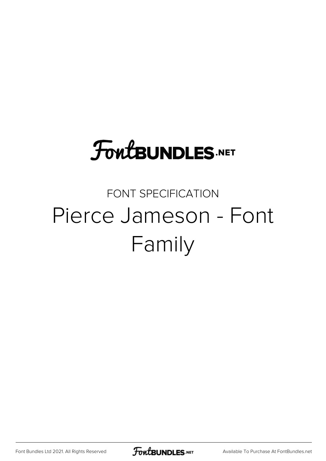## **FoutBUNDLES.NET**

#### FONT SPECIFICATION Pierce Jameson - Font Family

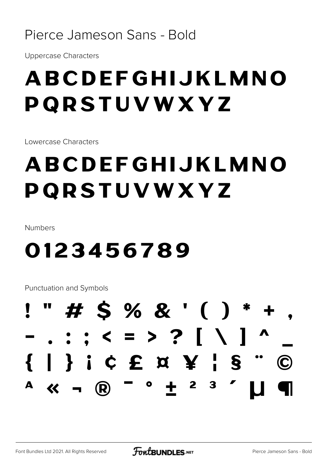#### Pierce Jameson Sans - Bold

**Uppercase Characters** 

### ABCDEFGHIJKLMNO PQRSTUVWXYZ

Lowercase Characters

## ABCDEFGHIJKLMNO PQRSTUVWXYZ

Numbers

#### 0123456789

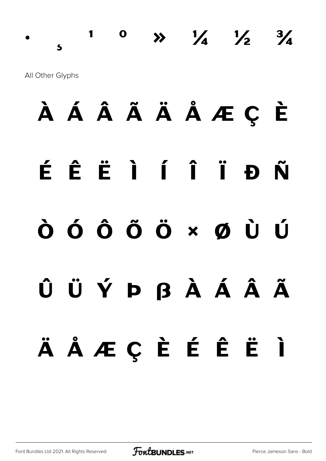1 0  $\rightarrow$   $\frac{1}{4}$   $\frac{1}{2}$  $\frac{3}{4}$  $\overline{\mathbf{S}}$ All Other Glyphs

## À Á Â Ã Ä Å Æ Ç È ÉÊËÌÍÏĐÑ  $\dot{\mathbf{O}}$   $\dot{\mathbf{O}}$   $\dot{\mathbf{O}}$   $\ddot{\mathbf{O}}$   $\times$   $\dot{\mathbf{O}}$   $\dot{\mathbf{O}}$   $\dot{\mathbf{O}}$ ÛÜÝÞßÀÁÃÃ ÄÅÆÇÈÉÊËÌ

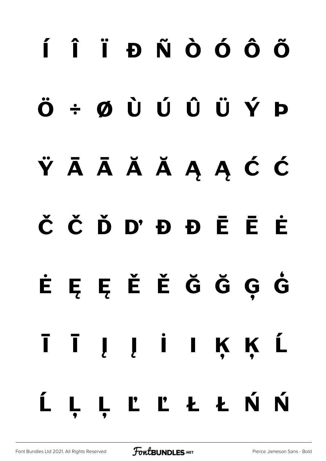# **í î ï ð ñ ò ó ô õ ö ÷ ø ù ú û ü ý þ ÿ Ā ā Ă ă Ą ą Ć ć Č č Ď ď Đ đ Ē ē Ė ė Ę ę Ě ě Ğ ğ Ģ ģ Ī ī Į į İ ı Ķ ķ Ĺ ĺ Ļ ļ Ľ ľ Ł ł Ń ń**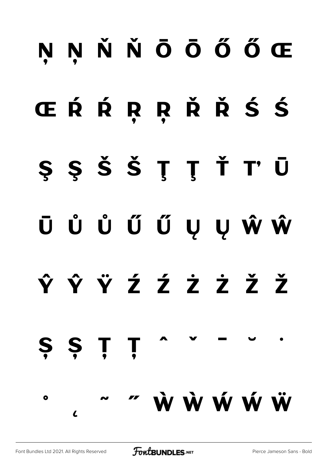## **Ņ ņ Ň ň Ō ō Ő ő Œ**

## **œ Ŕ ŕ Ŗ ŗ Ř ř Ś ś**

- **Ş ş Š š Ţ ţ Ť ť Ū**
- **ū Ů ů Ű ű Ų ų Ŵ ŵ**
- **Ŷ ŷ Ÿ Ź ź Ż ż Ž ž**

#### **˚**  $\mathcal{L}$ **˜ ˝ Ẁ ẁ Ẃ ẃ Ẅ**

**Ș ș Ț ț ˆ ˇ ˉ ˘ ˙**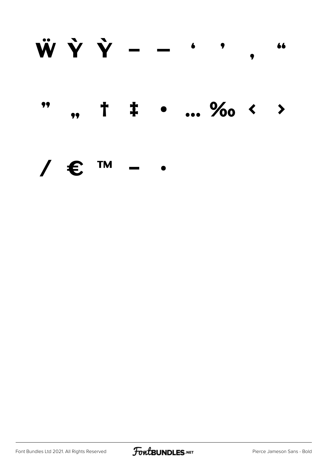#### $\ddot{\textbf{W}}\hspace{0.1cm}\dot{\textbf{Y}}\hspace{0.1cm}\dot{\textbf{Y}}\hspace{0.1cm}\hspace{0.1cm}\textbf{--}\hspace{0.1cm}\hspace{0.1cm}\textbf{--}\hspace{0.1cm}\hspace{0.1cm}\hspace{0.1cm}\textbf{.}$ 66 † ‡ • ... ‰ < > 99  $\bullet$

#### **TM** /  $\epsilon$

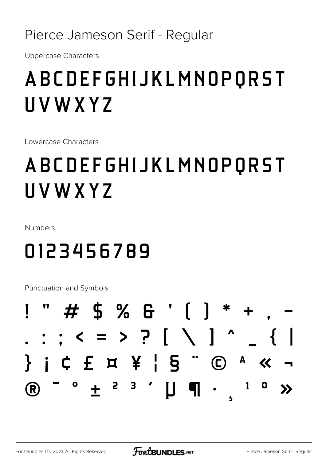Pierce Jameson Serif - Regular

**Uppercase Characters** 

### **ABCDEFGHIJKLMNOPQRST** UVWXYZ

Lowercase Characters

### **ABCDEFGHIJKLMNOPQRST** UVWXYZ

Numbers

#### 0123456789

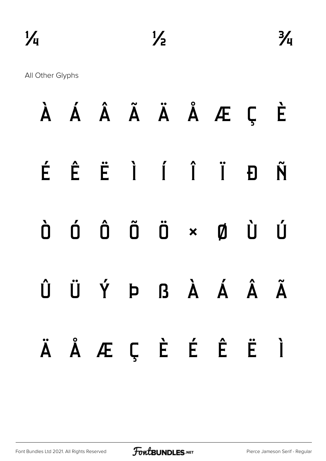All Other Glyphs

|  | À Á Â Ã Ä Å Æ Ç È                                                                                                                                                                                                                                                                                                                                                                                                                                              |  |  |  |
|--|----------------------------------------------------------------------------------------------------------------------------------------------------------------------------------------------------------------------------------------------------------------------------------------------------------------------------------------------------------------------------------------------------------------------------------------------------------------|--|--|--|
|  | É Ê Ë Ì Í Î Ï Đ Ñ                                                                                                                                                                                                                                                                                                                                                                                                                                              |  |  |  |
|  | $\begin{matrix} \mathbf{d} & \mathbf{d} & \mathbf{d} & \mathbf{d} \\ \mathbf{0} & \mathbf{0} & \mathbf{0} & \mathbf{d} \\ \mathbf{0} & \mathbf{0} & \mathbf{0} & \mathbf{d} \end{matrix} \quad \begin{matrix} \mathbf{d} & \mathbf{d} & \mathbf{d} \\ \mathbf{0} & \mathbf{d} & \mathbf{d} \\ \mathbf{0} & \mathbf{0} & \mathbf{d} \end{matrix} \quad \begin{matrix} \mathbf{d} & \mathbf{d} & \mathbf{d} \\ \mathbf{d} & \mathbf{d} & \mathbf{d} \\ \mathbf{$ |  |  |  |
|  | Û Ü Ý Þ ß À Á Â Ã                                                                                                                                                                                                                                                                                                                                                                                                                                              |  |  |  |
|  | ÄÅÆÇÈÉËÌ                                                                                                                                                                                                                                                                                                                                                                                                                                                       |  |  |  |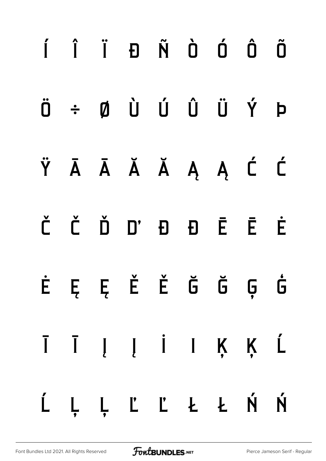# í î ï ð ñ ò ó ô õ ö ÷ ø ù ú û ü ý þ ÿ Ā ā Ă ă Ą ą Ć ć Č č Ď ď Đ đ Ē ē Ė ė Ę ę Ě ě Ğ ğ Ģ ģ Ī ī Į į İ ı Ķ ķ Ĺ ĺ Ļ ļ Ľ ľ Ł ł Ń ń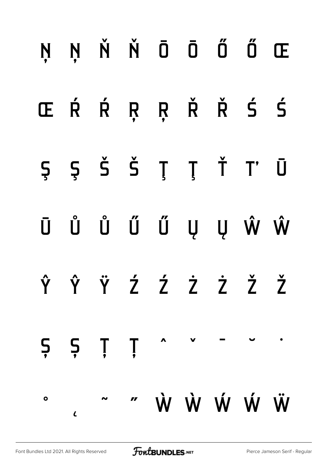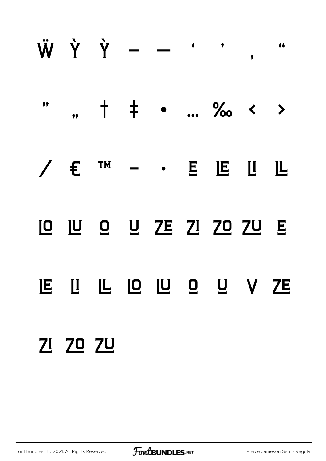

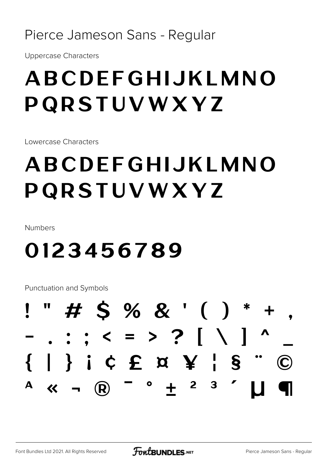#### Pierce Jameson Sans - Regular

**Uppercase Characters** 

### ABCDEFGHIJKLMNO PQRSTUVWXYZ

Lowercase Characters

## ABCDEFGHIJKLMNO PQRSTUVWXYZ

Numbers

#### 0123456789

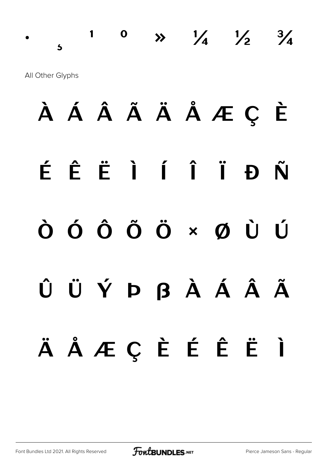$\frac{1}{2}$  0  $\frac{1}{4}$   $\frac{1}{2}$   $\frac{3}{4}$ All Other Glyphs

À Á Â Ã Ä Å Æ Ç È É Ê Ë Ì Í Î Ï Ð Ñ Ò Ó Ô Õ Ö × Ø Ù Ú Û Ü Ý Þ ß à á â ã ä å æ ç è é ê ë ì

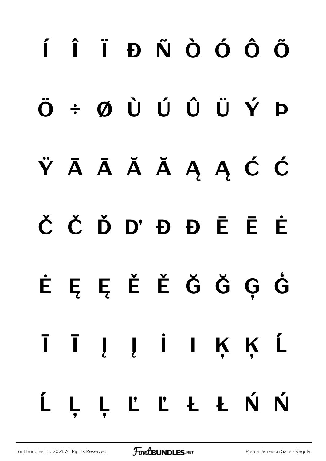# í î ï ð ñ ò ó ô õ ö ÷ ø ù ú û ü ý þ ŸĀĀĂĂĄĄĆĆ Č č Ď ď Đ đ Ē ē Ė ė Ę ę Ě ě Ğ ğ Ģ ģ Ī ī Į į İ ı Ķ ķ Ĺ ĺ Ļ ļ Ľ ľ Ł ł Ń ń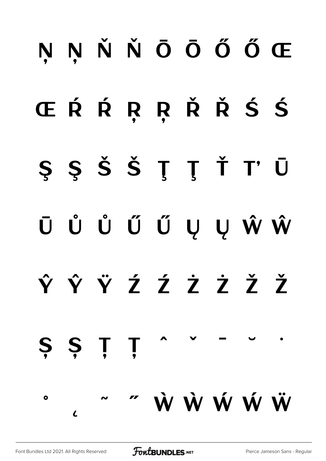## Ņ ņ Ň ň Ō ō Ő ő Œ Œ Ŕ Ŕ Ŗ Ŗ Ř Ř Ś Ś Ş ş Š š Ţ ţ Ť ť Ū ū Ů ů Ű ű Ų ų Ŵ ŵ  $\hat{Y}$   $\hat{Y}$   $\hat{Z}$   $\hat{Z}$   $\hat{Z}$   $\hat{Z}$   $\hat{Z}$   $\hat{Z}$   $\hat{Z}$ S Ș Ț Ț ˚  $\overline{L}$ ˜ ˝ Ẁ ẁ Ẃ ẃ Ẅ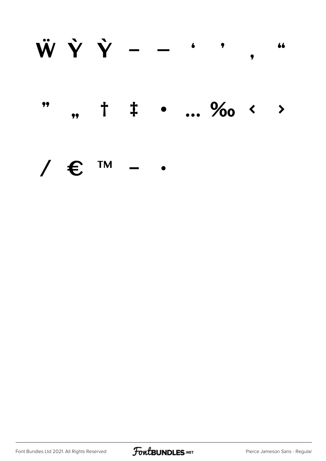#### $\ddot{W} \dot{Y} \dot{Y} - -$ 66  $\bullet$

#### $, +$   $\pm$  ... ‰ < > 99

#### **TM** /  $\epsilon$

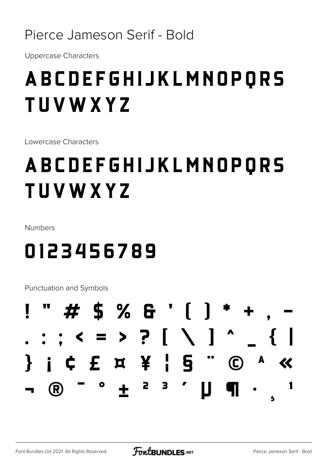#### Pierce Jameson Serif - Bold

**Uppercase Characters** 

### **ABCDEFGHIJKLMNOPORS TUVWXYZ**

Lowercase Characters

## **ABCDEFGHIJKLMNOPORS TUVWXYZ**

Numbers

### 0123456789

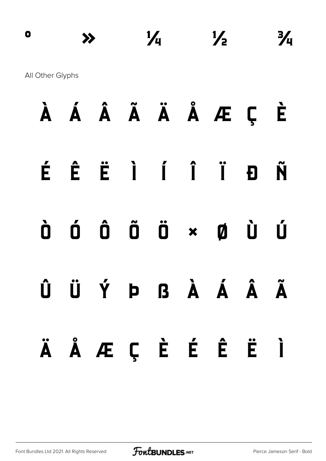## **º » ¼ ½ ¾** All Other Glyphs **À Á Â Ã Ä Å Æ Ç È**

- **É Ê Ë Ì Í Î Ï Ð Ñ**
- **Ò Ó Ô Õ Ö × Ø Ù Ú**
- **Û Ü Ý Þ ß à á â ã ä å æ ç è é ê ë ì**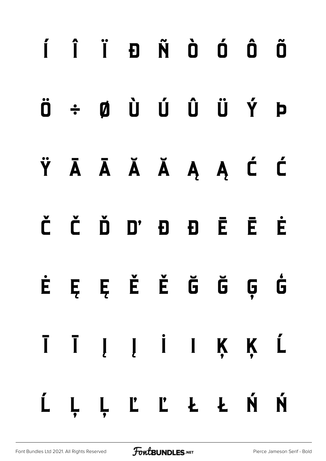# **í î ï ð ñ ò ó ô õ ö ÷ ø ù ú û ü ý þ ÿ Ā ā Ă ă Ą ą Ć ć Č č Ď ď Đ đ Ē ē Ė ė Ę ę Ě ě Ğ ğ Ģ ģ Ī ī Į į İ ı Ķ ķ Ĺ ĺ Ļ ļ Ľ ľ Ł ł Ń ń**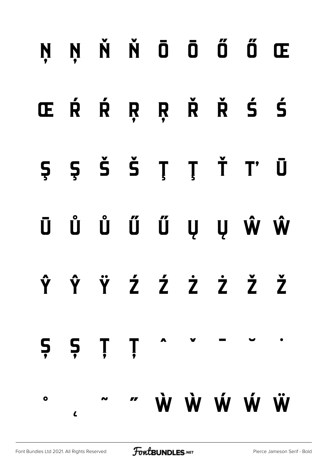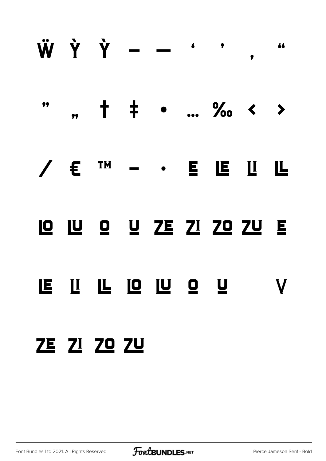

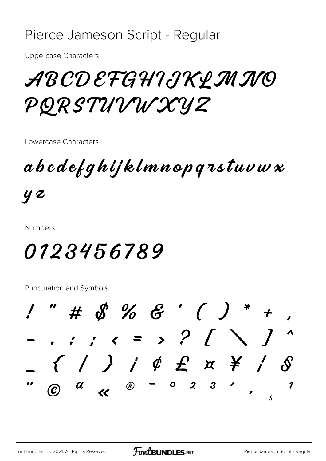#### Pierce Jameson Script - Regular

**Uppercase Characters** 

ABCDEFGHIJKLMINO PQRSTUVWXYZ

Lowercase Characters

 $\boldsymbol{a} \boldsymbol{b} \boldsymbol{c} \boldsymbol{d} \boldsymbol{e}$ f q $\boldsymbol{h}$ ij klmnop q $\boldsymbol{\tau}$ stuv $\boldsymbol{w}$  x

**y** 2

**Numbers** 

#### *0123456789*

 $1''$  # \$ % & ' ( ) \* +  $\{\quad\}$   $\quad\neq\; \emptyset$   $\qquad \qquad$   $\qquad \qquad$   $\qquad \qquad$   $\qquad \qquad$   $\qquad \qquad$   $\qquad \qquad$   $\qquad \qquad$   $\qquad \qquad$   $\qquad \qquad$   $\qquad \qquad$   $\qquad \qquad$   $\qquad \qquad$   $\qquad \qquad$   $\qquad \qquad$   $\qquad \qquad$   $\qquad \qquad$   $\qquad \qquad$   $\qquad \qquad$   $\qquad \qquad$   $\qquad \qquad$   $\qquad \qquad$   $\qquad \qquad$   $\$  $\begin{array}{cc} a & \alpha \end{array}$ *®* − *o* 2  $3 \cdot$ 1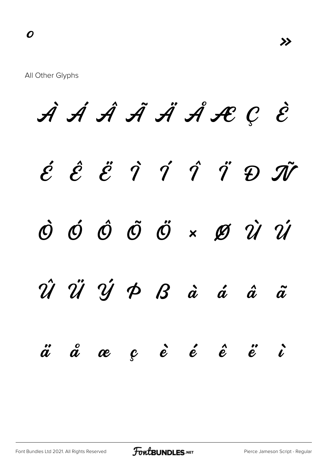À Á Â Ã Ä Å Æ Ç È  $\acute{e}$   $\acute{e}$   $\acute{e}$   $\acute{q}$   $\acute{q}$   $\acute{q}$   $\acute{q}$   $\acute{q}$   $\acute{q}$   $\ddot{v}$   $\ddot{v}$ Ò Ó Ô Õ Ö × Ø Ù Ú Û Ü Ý Þ ß à á â ã  $\H{a}$   $\H{a}$   $\H{c}$   $\H{e}$   $\H{e}$   $\H{e}$   $\H{e}$   $\H{e}$   $\H{e}$   $\H{e}$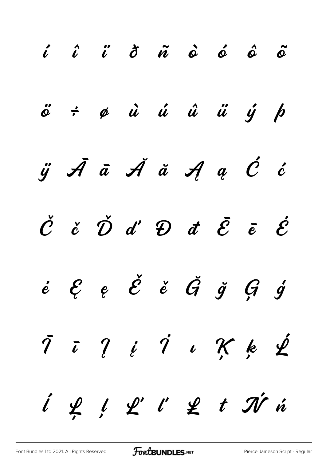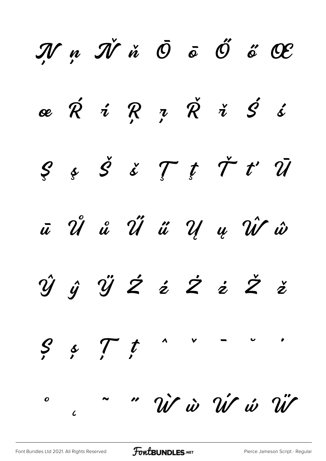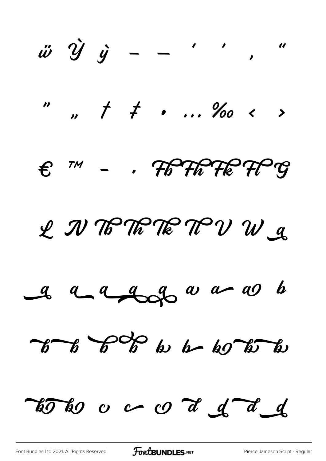$\ddot{\omega} \quad \dot{\mathcal{Y}} \quad \dot{\mathcal{Y}} \quad - \quad - \quad \cdot \quad \cdot \quad \cdot \quad \cdot$  $17.7177...8000$  $\epsilon$   $\pi$  -  $\kappa$  The The TP  $g$ L IV TO TO TO TO V W &  $a$  a a a good a as to  $76 - 6$   $6$  to be 60 to to toto o a d d d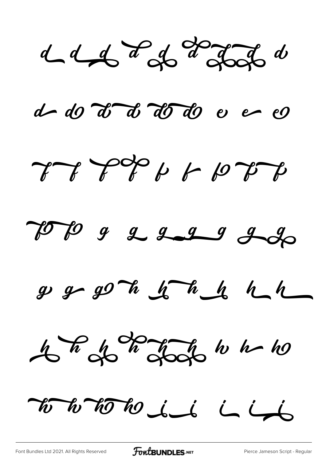$d_{d}d_{s}d_{s}d_{s}d_{s}d_{s}d_{s}d_{s}$ 

d do d d d d d e e

LA LISO 1 10 DA



 $g g g O h g T h_0 h_1 h_1$ 



To to to to de la lado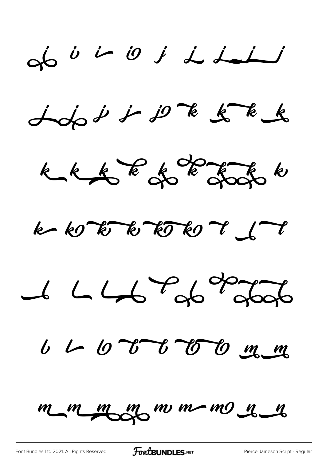$\begin{array}{ccccccc}\n\mathbf{c} & \mathbf{c} & \mathbf{c} & \mathbf{c} & \mathbf{c} & \mathbf{c} & \mathbf{c} & \mathbf{c} & \mathbf{c} & \mathbf{c} & \mathbf{c} & \mathbf{c} & \mathbf{c} & \mathbf{c} & \mathbf{c} & \mathbf{c} & \mathbf{c} & \mathbf{c} & \mathbf{c} & \mathbf{c} & \mathbf{c} & \mathbf{c} & \mathbf{c} & \mathbf{c} & \mathbf{c} & \mathbf{c} & \mathbf{c} & \mathbf{c} & \mathbf{c} & \mathbf{c} & \$ 

 $j$ do i i  $j$  k  $k$ 



 $k$   $k$   $k$   $k$   $k$   $k$   $k$   $k$   $k$   $j$   $k$   $j$   $k$   $j$ 

 $14476886$ 

6 L O T O C O C C

m m m m m m m m m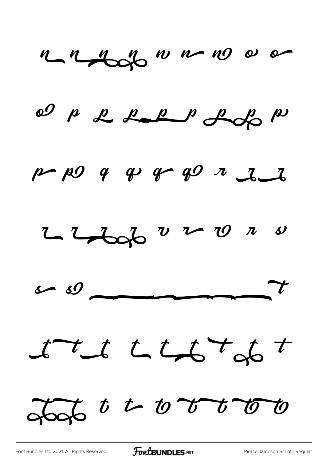